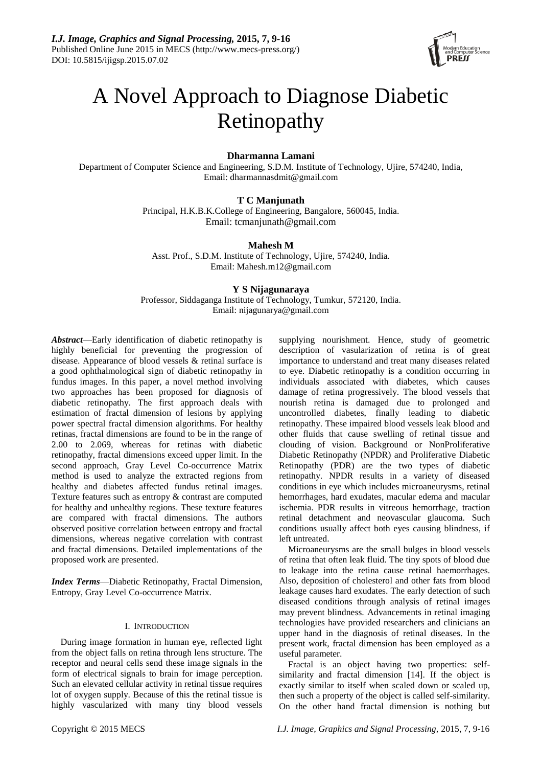

# A Novel Approach to Diagnose Diabetic Retinopathy

# **Dharmanna Lamani**

Department of Computer Science and Engineering, S.D.M. Institute of Technology, Ujire, 574240, India, Email: dharmannasdmit@gmail.com

# **T C Manjunath**

Principal, H.K.B.K.College of Engineering, Bangalore, 560045, India. Email: tcmanjunath@gmail.com

## **Mahesh M**

Asst. Prof., S.D.M. Institute of Technology, Ujire, 574240, India. Email: Mahesh.m12@gmail.com

# **Y S Nijagunaraya**

Professor, Siddaganga Institute of Technology, Tumkur, 572120, India. Email: nijagunarya@gmail.com

*Abstract*—Early identification of diabetic retinopathy is highly beneficial for preventing the progression of disease. Appearance of blood vessels & retinal surface is a good ophthalmological sign of diabetic retinopathy in fundus images. In this paper, a novel method involving two approaches has been proposed for diagnosis of diabetic retinopathy. The first approach deals with estimation of fractal dimension of lesions by applying power spectral fractal dimension algorithms. For healthy retinas, fractal dimensions are found to be in the range of 2.00 to 2.069, whereas for retinas with diabetic retinopathy, fractal dimensions exceed upper limit. In the second approach, Gray Level Co-occurrence Matrix method is used to analyze the extracted regions from healthy and diabetes affected fundus retinal images. Texture features such as entropy & contrast are computed for healthy and unhealthy regions. These texture features are compared with fractal dimensions. The authors observed positive correlation between entropy and fractal dimensions, whereas negative correlation with contrast and fractal dimensions. Detailed implementations of the proposed work are presented.

*Index Terms*—Diabetic Retinopathy, Fractal Dimension, Entropy, Gray Level Co-occurrence Matrix.

## I. INTRODUCTION

During image formation in human eye, reflected light from the object falls on retina through lens structure. The receptor and neural cells send these image signals in the form of electrical signals to brain for image perception. Such an elevated cellular activity in retinal tissue requires lot of oxygen supply. Because of this the retinal tissue is highly vascularized with many tiny blood vessels supplying nourishment. Hence, study of geometric description of vasularization of retina is of great importance to understand and treat many diseases related to eye. Diabetic retinopathy is a condition occurring in individuals associated with diabetes, which causes damage of retina progressively. The blood vessels that nourish retina is damaged due to prolonged and uncontrolled diabetes, finally leading to diabetic retinopathy. These impaired blood vessels leak blood and other fluids that cause swelling of retinal tissue and clouding of vision. Background or NonProliferative Diabetic Retinopathy (NPDR) and Proliferative Diabetic Retinopathy (PDR) are the two types of diabetic retinopathy. NPDR results in a variety of diseased conditions in eye which includes microaneurysms, retinal hemorrhages, hard exudates, macular edema and macular ischemia. PDR results in vitreous hemorrhage, traction retinal detachment and neovascular glaucoma. Such conditions usually affect both eyes causing blindness, if left untreated.

Microaneurysms are the small bulges in blood vessels of retina that often leak fluid. The tiny spots of blood due to leakage into the retina cause retinal haemorrhages. Also, deposition of cholesterol and other fats from blood leakage causes hard exudates. The early detection of such diseased conditions through analysis of retinal images may prevent blindness. Advancements in retinal imaging technologies have provided researchers and clinicians an upper hand in the diagnosis of retinal diseases. In the present work, fractal dimension has been employed as a useful parameter.

Fractal is an object having two properties: selfsimilarity and fractal dimension [14]. If the object is exactly similar to itself when scaled down or scaled up, then such a property of the object is called self-similarity. On the other hand fractal dimension is nothing but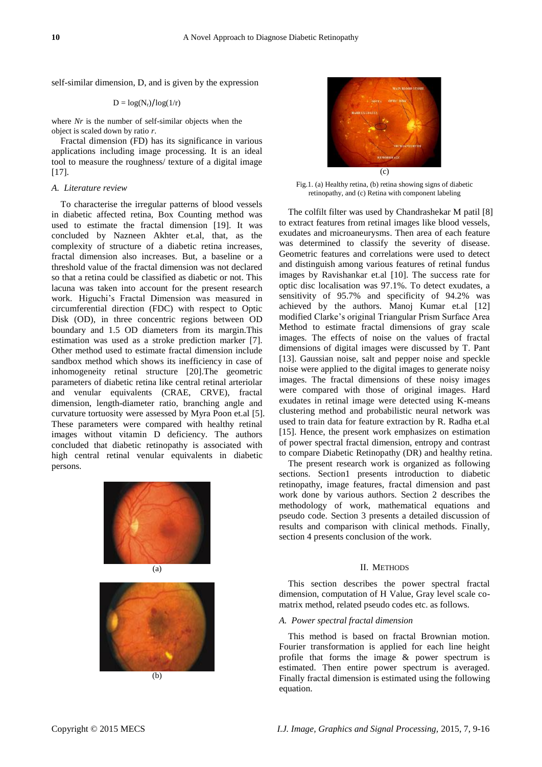self-similar dimension, D, and is given by the expression

## $D = \log(N_r)/\log(1/r)$

where *Nr* is the number of self-similar objects when the object is scaled down by ratio *r*.

Fractal dimension (FD) has its significance in various applications including image processing. It is an ideal tool to measure the roughness/ texture of a digital image [17].

## *A. Literature review*

To characterise the irregular patterns of blood vessels in diabetic affected retina, Box Counting method was used to estimate the fractal dimension [19]. It was concluded by Nazneen Akhter et.al, that, as the complexity of structure of a diabetic retina increases, fractal dimension also increases. But, a baseline or a threshold value of the fractal dimension was not declared so that a retina could be classified as diabetic or not. This lacuna was taken into account for the present research work. Higuchi's Fractal Dimension was measured in circumferential direction (FDC) with respect to Optic Disk (OD), in three concentric regions between OD boundary and 1.5 OD diameters from its margin.This estimation was used as a stroke prediction marker [7]. Other method used to estimate fractal dimension include sandbox method which shows its inefficiency in case of inhomogeneity retinal structure [20].The geometric parameters of diabetic retina like central retinal arteriolar and venular equivalents (CRAE, CRVE), fractal dimension, length-diameter ratio, branching angle and curvature tortuosity were assessed by Myra Poon et.al [5]. These parameters were compared with healthy retinal images without vitamin D deficiency. The authors concluded that diabetic retinopathy is associated with high central retinal venular equivalents in diabetic persons.









Fig.1. (a) Healthy retina, (b) retina showing signs of diabetic retinopathy, and (c) Retina with component labeling

The colfilt filter was used by Chandrashekar M patil [8] to extract features from retinal images like blood vessels, exudates and microaneurysms. Then area of each feature was determined to classify the severity of disease. Geometric features and correlations were used to detect and distinguish among various features of retinal fundus images by Ravishankar et.al [10]. The success rate for optic disc localisation was 97.1%. To detect exudates, a sensitivity of 95.7% and specificity of 94.2% was achieved by the authors. Manoj Kumar et.al [12] modified Clarke's original Triangular Prism Surface Area Method to estimate fractal dimensions of gray scale images. The effects of noise on the values of fractal dimensions of digital images were discussed by T. Pant [13]. Gaussian noise, salt and pepper noise and speckle noise were applied to the digital images to generate noisy images. The fractal dimensions of these noisy images were compared with those of original images. Hard exudates in retinal image were detected using K-means clustering method and probabilistic neural network was used to train data for feature extraction by R. Radha et.al [15]. Hence, the present work emphasizes on estimation of power spectral fractal dimension, entropy and contrast to compare Diabetic Retinopathy (DR) and healthy retina.

The present research work is organized as following sections. Section1 presents introduction to diabetic retinopathy, image features, fractal dimension and past work done by various authors. Section 2 describes the methodology of work, mathematical equations and pseudo code. Section 3 presents a detailed discussion of results and comparison with clinical methods. Finally, section 4 presents conclusion of the work.

#### II. METHODS

This section describes the power spectral fractal dimension, computation of H Value, Gray level scale comatrix method, related pseudo codes etc. as follows.

#### *A. Power spectral fractal dimension*

This method is based on fractal Brownian motion. Fourier transformation is applied for each line height profile that forms the image & power spectrum is estimated. Then entire power spectrum is averaged. Finally fractal dimension is estimated using the following equation.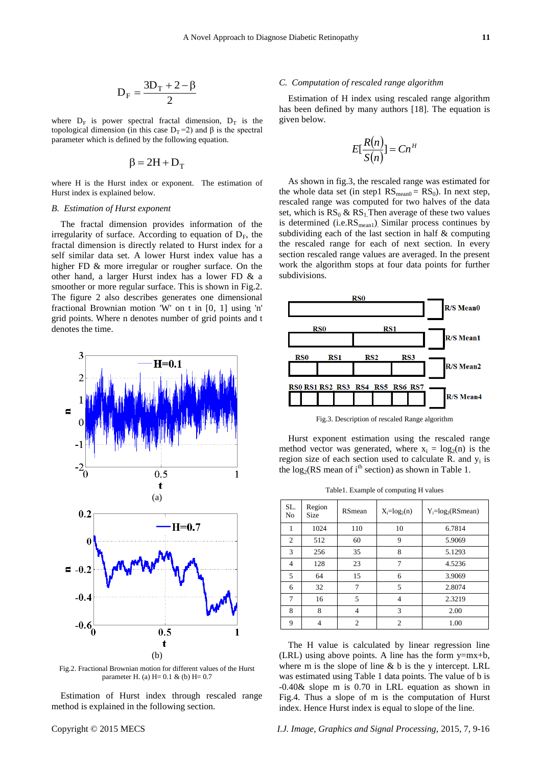$$
D_F = \frac{3D_T + 2 - \beta}{2}
$$

where  $D_F$  is power spectral fractal dimension,  $D_T$  is the topological dimension (in this case  $D_T = 2$ ) and  $\beta$  is the spectral parameter which is defined by the following equation.

$$
\beta = 2H + D_T
$$

where H is the Hurst index or exponent. The estimation of Hurst index is explained below.

#### *B. Estimation of Hurst exponent*

The fractal dimension provides information of the irregularity of surface. According to equation of  $D_F$ , the fractal dimension is directly related to Hurst index for a self similar data set. A lower Hurst index value has a higher FD & more irregular or rougher surface. On the other hand, a larger Hurst index has a lower FD & a smoother or more regular surface. This is shown in Fig.2. The figure 2 also describes generates one dimensional fractional Brownian motion 'W' on t in [0, 1] using 'n' grid points. Where n denotes number of grid points and t denotes the time.



Fig.2. Fractional Brownian motion for different values of the Hurst parameter H. (a) H= 0.1 & (b) H= 0.7

Estimation of Hurst index through rescaled range method is explained in the following section.

#### *C. Computation of rescaled range algorithm*

Estimation of H index using rescaled range algorithm has been defined by many authors [18]. The equation is given below.

$$
E[\frac{R(n)}{S(n)}] = Cn^H
$$

As shown in fig.3, the rescaled range was estimated for the whole data set (in step1  $RS_{mean0} = RS_0$ ). In next step, rescaled range was computed for two halves of the data set, which is  $RS_0 \& RS_1$ . Then average of these two values is determined (i.e.RS<sub>mean1</sub>). Similar process continues by subdividing each of the last section in half & computing the rescaled range for each of next section. In every section rescaled range values are averaged. In the present work the algorithm stops at four data points for further subdivisions.



Fig.3. Description of rescaled Range algorithm

Hurst exponent estimation using the rescaled range method vector was generated, where  $x_i = log_2(n)$  is the region size of each section used to calculate R. and  $y_i$  is the  $log_2(RS \text{ mean of } i^{\text{th}} \text{ section})$  as shown in Table 1.

Table1. Example of computing H values

| SL.<br>No      | Region<br><b>Size</b> | RSmean        | $X_i = log_2(n)$ | $Y_i = log_2(RSmean)$ |
|----------------|-----------------------|---------------|------------------|-----------------------|
| 1              | 1024                  | 110           | 10               | 6.7814                |
| $\overline{2}$ | 512                   | 60            | 9                | 5.9069                |
| 3              | 256                   | 35            | 8                | 5.1293                |
| 4              | 128                   | 23            | 7                | 4.5236                |
| 5              | 64                    | 15            | 6                | 3.9069                |
| 6              | 32                    | 7             | 5                | 2.8074                |
| 7              | 16                    | 5             | $\overline{4}$   | 2.3219                |
| 8              | 8                     | 4             | 3                | 2.00                  |
| 9              |                       | $\mathcal{D}$ | $\overline{c}$   | 1.00                  |

The H value is calculated by linear regression line (LRL) using above points. A line has the form  $y=mx+b$ , where m is the slope of line  $\& b$  is the y intercept. LRL was estimated using Table 1 data points. The value of b is -0.40& slope m is 0.70 in LRL equation as shown in Fig.4. Thus a slope of m is the computation of Hurst index. Hence Hurst index is equal to slope of the line.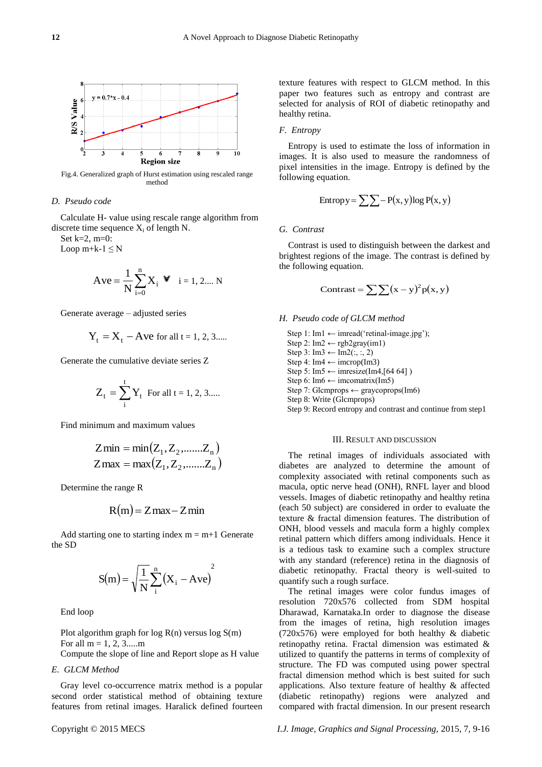

Fig.4. Generalized graph of Hurst estimation using rescaled range method

#### *D. Pseudo code*

Calculate H- value using rescale range algorithm from discrete time sequence  $X_i$  of length N.

Set k=2, m=0: Loop  $m+k-1 \leq N$ 

$$
Ave = \frac{1}{N} \sum_{i=0}^{n} X_i \quad \forall \quad i = 1, 2...N
$$

Generate average – adjusted series

$$
Y_t = X_t - Ave
$$
 for all  $t = 1, 2, 3...$ 

Generate the cumulative deviate series Z

$$
Z_t = \sum_{i}^{t} Y_t
$$
 For all  $t = 1, 2, 3...$ 

Find minimum and maximum values

$$
Zmin = min(Z_1, Z_2, \dots, Z_n)
$$
  
Zmax = max(Z<sub>1</sub>, Z<sub>2</sub>, \dots, Z<sub>n</sub>)

Determine the range R

$$
R(m) = Zmax - Zmin
$$

Add starting one to starting index  $m = m+1$  Generate the SD

$$
S(m) = \sqrt{\frac{1}{N} \sum_{i=1}^{n} (X_i - Ave)^2}
$$

End loop

Plot algorithm graph for  $log R(n)$  versus  $log S(m)$ For all  $m = 1, 2, 3, \dots$ 

Compute the slope of line and Report slope as H value

## *E. GLCM Method*

Gray level co-occurrence matrix method is a popular second order statistical method of obtaining texture features from retinal images. Haralick defined fourteen

## *F. Entropy*

Entropy is used to estimate the loss of information in images. It is also used to measure the randomness of pixel intensities in the image. Entropy is defined by the following equation.

$$
Entropy = \sum \sum - P(x, y) \log P(x, y)
$$

## *G. Contrast*

Contrast is used to distinguish between the darkest and brightest regions of the image. The contrast is defined by the following equation.

$$
Contrast = \sum \sum (x - y)^2 p(x, y)
$$

## *H. Pseudo code of GLCM method*

Step 1: Im1  $\leftarrow$  imread('retinal-image.jpg'); Step 2: Im2  $\leftarrow$  rgb2gray(im1) Step 3:  $Im3 \leftarrow Im2(:,:, 2)$ Step 4: Im4  $\leftarrow$  imcrop(Im3) Step 5: Im5  $\leftarrow$  imresize(Im4,[64 64]) Step 6: Im6  $\leftarrow$  imcomatrix(Im5) Step 7: Glcmprops  $\leftarrow$  graycoprops(Im6) Step 8: Write (Glcmprops) Step 9: Record entropy and contrast and continue from step1

#### III. RESULT AND DISCUSSION

The retinal images of individuals associated with diabetes are analyzed to determine the amount of complexity associated with retinal components such as macula, optic nerve head (ONH), RNFL layer and blood vessels. Images of diabetic retinopathy and healthy retina (each 50 subject) are considered in order to evaluate the texture & fractal dimension features. The distribution of ONH, blood vessels and macula form a highly complex retinal pattern which differs among individuals. Hence it is a tedious task to examine such a complex structure with any standard (reference) retina in the diagnosis of diabetic retinopathy. Fractal theory is well-suited to quantify such a rough surface.

The retinal images were color fundus images of resolution 720x576 collected from SDM hospital Dharawad, Karnataka.In order to diagnose the disease from the images of retina, high resolution images (720x576) were employed for both healthy & diabetic retinopathy retina. Fractal dimension was estimated & utilized to quantify the patterns in terms of complexity of structure. The FD was computed using power spectral fractal dimension method which is best suited for such applications. Also texture feature of healthy & affected (diabetic retinopathy) regions were analyzed and compared with fractal dimension. In our present research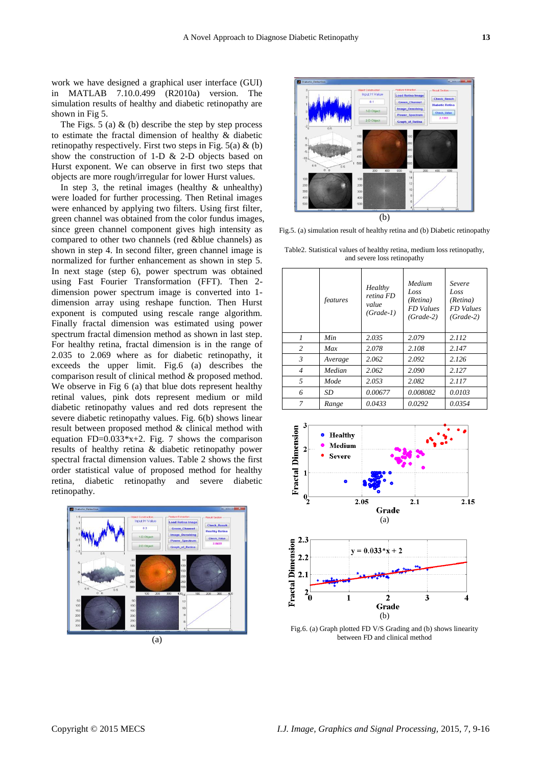work we have designed a graphical user interface (GUI) in MATLAB 7.10.0.499 (R2010a) version. The simulation results of healthy and diabetic retinopathy are shown in Fig 5.

The Figs.  $5$  (a)  $\&$  (b) describe the step by step process to estimate the fractal dimension of healthy & diabetic retinopathy respectively. First two steps in Fig.  $5(a) \& (b)$ show the construction of 1-D & 2-D objects based on Hurst exponent. We can observe in first two steps that objects are more rough/irregular for lower Hurst values.

In step 3, the retinal images (healthy  $\&$  unhealthy) were loaded for further processing. Then Retinal images were enhanced by applying two filters. Using first filter, green channel was obtained from the color fundus images, since green channel component gives high intensity as compared to other two channels (red &blue channels) as shown in step 4. In second filter, green channel image is normalized for further enhancement as shown in step 5. In next stage (step 6), power spectrum was obtained using Fast Fourier Transformation (FFT). Then 2 dimension power spectrum image is converted into 1 dimension array using reshape function. Then Hurst exponent is computed using rescale range algorithm. Finally fractal dimension was estimated using power spectrum fractal dimension method as shown in last step. For healthy retina, fractal dimension is in the range of 2.035 to 2.069 where as for diabetic retinopathy, it exceeds the upper limit. Fig.6 (a) describes the comparison result of clinical method & proposed method. We observe in Fig 6 (a) that blue dots represent healthy retinal values, pink dots represent medium or mild diabetic retinopathy values and red dots represent the severe diabetic retinopathy values. Fig. 6(b) shows linear result between proposed method & clinical method with equation FD= $0.033*x+2$ . Fig. 7 shows the comparison results of healthy retina & diabetic retinopathy power spectral fractal dimension values. Table 2 shows the first order statistical value of proposed method for healthy retina, diabetic retinopathy and severe diabetic retinopathy.





Fig.5. (a) simulation result of healthy retina and (b) Diabetic retinopathy

|                | features | Healthy<br>retina FD<br>value<br>$(Grade-1)$ | Medium<br>Loss<br>(Retina)<br><b>FD</b> Values<br>$(Grade-2)$ | Severe<br>Loss<br>(Retina)<br><b>FD</b> Values<br>$(Grade-2)$ |
|----------------|----------|----------------------------------------------|---------------------------------------------------------------|---------------------------------------------------------------|
| 1              | Min      | 2.035                                        | 2.079                                                         | 2.112                                                         |
| $\overline{c}$ | Max      | 2.078                                        | 2.108                                                         | 2.147                                                         |
| $\mathfrak{Z}$ | Average  | 2.062                                        | 2.092                                                         | 2.126                                                         |
| $\overline{4}$ | Median   | 2.062                                        | 2.090                                                         | 2.127                                                         |
| $\overline{5}$ | Mode     | 2.053                                        | 2.082                                                         | 2.117                                                         |
| 6              | SD       | 0.00677                                      | 0.008082                                                      | 0.0103                                                        |
| 7              | Range    | 0.0433                                       | 0.0292                                                        | 0.0354                                                        |







Fig.6. (a) Graph plotted FD V/S Grading and (b) shows linearity between FD and clinical method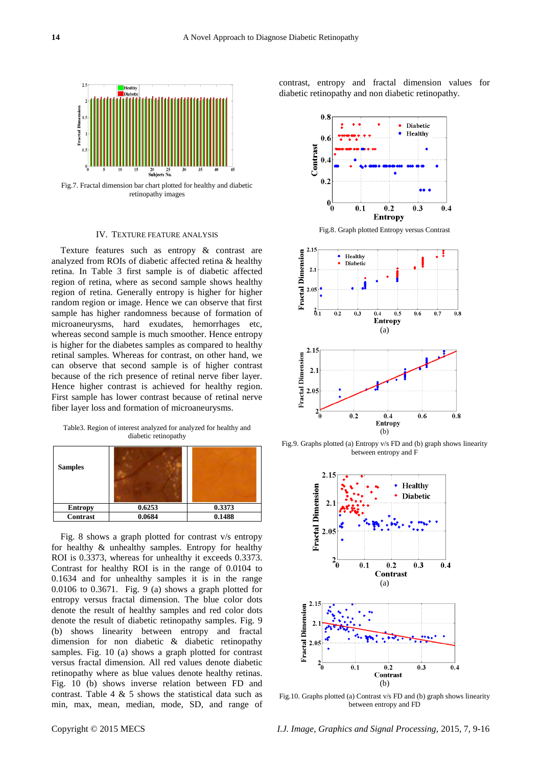

Fig.7. Fractal dimension bar chart plotted for healthy and diabetic retinopathy images

## IV. TEXTURE FEATURE ANALYSIS

Texture features such as entropy & contrast are analyzed from ROIs of diabetic affected retina & healthy retina. In Table 3 first sample is of diabetic affected region of retina, where as second sample shows healthy region of retina. Generally entropy is higher for higher random region or image. Hence we can observe that first sample has higher randomness because of formation of microaneurysms, hard exudates, hemorrhages etc, whereas second sample is much smoother. Hence entropy is higher for the diabetes samples as compared to healthy retinal samples. Whereas for contrast, on other hand, we can observe that second sample is of higher contrast because of the rich presence of retinal nerve fiber layer. Hence higher contrast is achieved for healthy region. First sample has lower contrast because of retinal nerve fiber layer loss and formation of microaneurysms.

Table3. Region of interest analyzed for analyzed for healthy and diabetic retinopathy

| <b>Samples</b>  |        |        |  |
|-----------------|--------|--------|--|
| <b>Entropy</b>  | 0.6253 | 0.3373 |  |
| <b>Contrast</b> | 0.0684 | 0.1488 |  |

Fig. 8 shows a graph plotted for contrast v/s entropy for healthy & unhealthy samples. Entropy for healthy ROI is 0.3373, whereas for unhealthy it exceeds 0.3373. Contrast for healthy ROI is in the range of 0.0104 to 0.1634 and for unhealthy samples it is in the range 0.0106 to 0.3671. Fig. 9 (a) shows a graph plotted for entropy versus fractal dimension. The blue color dots denote the result of healthy samples and red color dots denote the result of diabetic retinopathy samples. Fig. 9 (b) shows linearity between entropy and fractal dimension for non diabetic & diabetic retinopathy samples. Fig. 10 (a) shows a graph plotted for contrast versus fractal dimension. All red values denote diabetic retinopathy where as blue values denote healthy retinas. Fig. 10 (b) shows inverse relation between FD and contrast. Table 4  $\&$  5 shows the statistical data such as min, max, mean, median, mode, SD, and range of

contrast, entropy and fractal dimension values for diabetic retinopathy and non diabetic retinopathy.



Fig.8. Graph plotted Entropy versus Contrast



Fig.9. Graphs plotted (a) Entropy v/s FD and (b) graph shows linearity between entropy and F



Fig.10. Graphs plotted (a) Contrast v/s FD and (b) graph shows linearity between entropy and FD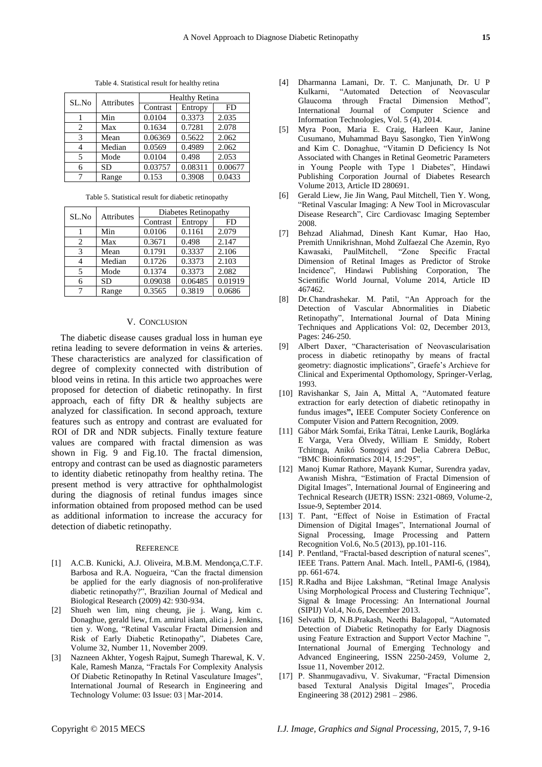| Table 4. Statistical result for healthy retina |  |  |  |
|------------------------------------------------|--|--|--|
|------------------------------------------------|--|--|--|

| SL.No | Attributes | <b>Healthy Retina</b> |         |         |
|-------|------------|-----------------------|---------|---------|
|       |            | Contrast              | Entropy | FD      |
|       | Min        | 0.0104                | 0.3373  | 2.035   |
| 2     | Max        | 0.1634                | 0.7281  | 2.078   |
| 3     | Mean       | 0.06369               | 0.5622  | 2.062   |
| 4     | Median     | 0.0569                | 0.4989  | 2.062   |
| 5     | Mode       | 0.0104                | 0.498   | 2.053   |
| 6     | <b>SD</b>  | 0.03757               | 0.08311 | 0.00677 |
| 7     | Range      | 0.153                 | 0.3908  | 0.0433  |

Table 5. Statistical result for diabetic retinopathy

| SL.No | Attributes | Diabetes Retinopathy |         |         |  |
|-------|------------|----------------------|---------|---------|--|
|       |            | Contrast             | Entropy | FD      |  |
|       | Min        | 0.0106               | 0.1161  | 2.079   |  |
| 2     | Max        | 0.3671               | 0.498   | 2.147   |  |
| 3     | Mean       | 0.1791               | 0.3337  | 2.106   |  |
|       | Median     | 0.1726               | 0.3373  | 2.103   |  |
| 5     | Mode       | 0.1374               | 0.3373  | 2.082   |  |
| 6     | <b>SD</b>  | 0.09038              | 0.06485 | 0.01919 |  |
| 7     | Range      | 0.3565               | 0.3819  | 0.0686  |  |

## V. CONCLUSION

The diabetic disease causes gradual loss in human eye retina leading to severe deformation in veins & arteries. These characteristics are analyzed for classification of degree of complexity connected with distribution of blood veins in retina. In this article two approaches were proposed for detection of diabetic retinopathy. In first approach, each of fifty DR & healthy subjects are analyzed for classification. In second approach, texture features such as entropy and contrast are evaluated for ROI of DR and NDR subjects. Finally texture feature values are compared with fractal dimension as was shown in Fig. 9 and Fig.10. The fractal dimension, entropy and contrast can be used as diagnostic parameters to identity diabetic retinopathy from healthy retina. The present method is very attractive for ophthalmologist during the diagnosis of retinal fundus images since information obtained from proposed method can be used as additional information to increase the accuracy for detection of diabetic retinopathy.

#### **REFERENCE**

- [1] A.C.B. Kunicki, A.J. Oliveira, M.B.M. Mendonça,C.T.F. Barbosa and R.A. Nogueira, "Can the fractal dimension be applied for the early diagnosis of non-proliferative diabetic retinopathy?", Brazilian Journal of Medical and Biological Research (2009) 42: 930-934.
- [2] Shueh wen lim, ning cheung, jie j. Wang, kim c. Donaghue, gerald liew, f.m. amirul islam, alicia j. Jenkins, tien y. Wong, "Retinal Vascular Fractal Dimension and Risk of Early Diabetic Retinopathy", Diabetes Care, Volume 32, Number 11, November 2009.
- [3] Nazneen Akhter, Yogesh Rajput, Sumegh Tharewal, K. V. Kale, Ramesh Manza, "Fractals For Complexity Analysis Of Diabetic Retinopathy In Retinal Vasculature Images", International Journal of Research in Engineering and Technology Volume: 03 Issue: 03 | Mar-2014.
- [4] Dharmanna Lamani, Dr. T. C. Manjunath, Dr. U P Kulkarni, "Automated Detection of Neovascular Glaucoma through Fractal Dimension Method", International Journal of Computer Science and Information Technologies, Vol. 5 (4), 2014.
- [5] Myra Poon, Maria E. Craig, Harleen Kaur, Janine Cusumano, Muhammad Bayu Sasongko, Tien YinWong and Kim C. Donaghue, "Vitamin D Deficiency Is Not Associated with Changes in Retinal Geometric Parameters in Young People with Type 1 Diabetes", Hindawi Publishing Corporation Journal of Diabetes Research Volume 2013, Article ID 280691.
- [6] Gerald Liew, Jie Jin Wang, Paul Mitchell, Tien Y. Wong, "Retinal Vascular Imaging: A New Tool in Microvascular Disease Research", Circ Cardiovasc Imaging September 2008.
- [7] Behzad Aliahmad, Dinesh Kant Kumar, Hao Hao, Premith Unnikrishnan, Mohd Zulfaezal Che Azemin, Ryo Kawasaki, PaulMitchell, "Zone Specific Fractal Dimension of Retinal Images as Predictor of Stroke Incidence", Hindawi Publishing Corporation, The Scientific World Journal, Volume 2014, Article ID 467462.
- [8] Dr.Chandrashekar. M. Patil, "An Approach for the Detection of Vascular Abnormalities in Diabetic Retinopathy", International Journal of Data Mining Techniques and Applications Vol: 02, December 2013, Pages: 246-250.
- [9] Albert Daxer, "Characterisation of Neovascularisation process in diabetic retinopathy by means of fractal geometry: diagnostic implications", Graefe's Archieve for Clinical and Experimental Opthomology, Springer-Verlag, 1993.
- [10] Ravishankar S, Jain A, Mittal A, "Automated feature extraction for early detection of diabetic retinopathy in fundus images**",** IEEE Computer Society Conference on Computer Vision and Pattern Recognition, 2009.
- [11] Gábor Márk Somfai, Erika Tátrai, Lenke Laurik, Boglárka E Varga, Vera Ölvedy, William E Smiddy, Robert Tchitnga, Anikó Somogyi and Delia Cabrera DeBuc, "BMC Bioinformatics 2014, 15:295",
- [12] Manoj Kumar Rathore, Mayank Kumar, Surendra yadav, Awanish Mishra, "Estimation of Fractal Dimension of Digital Images", International Journal of Engineering and Technical Research (IJETR) ISSN: 2321-0869, Volume-2, Issue-9, September 2014.
- [13] T. Pant, "Effect of Noise in Estimation of Fractal Dimension of Digital Images", International Journal of Signal Processing, Image Processing and Pattern Recognition Vol.6, No.5 (2013), pp.101-116.
- [14] P. Pentland, "Fractal-based description of natural scenes", IEEE Trans. Pattern Anal. Mach. Intell., PAMI-6, (1984), pp. 661-674.
- [15] R.Radha and Bijee Lakshman, "Retinal Image Analysis Using Morphological Process and Clustering Technique", Signal & Image Processing: An International Journal (SIPIJ) Vol.4, No.6, December 2013.
- [16] Selvathi D, N.B.Prakash, Neethi Balagopal, "Automated Detection of Diabetic Retinopathy for Early Diagnosis using Feature Extraction and Support Vector Machine " International Journal of Emerging Technology and Advanced Engineering, ISSN 2250-2459, Volume 2, Issue 11, November 2012.
- [17] P. Shanmugavadivu, V. Sivakumar, "Fractal Dimension based Textural Analysis Digital Images", Procedia Engineering 38 (2012) 2981 – 2986.